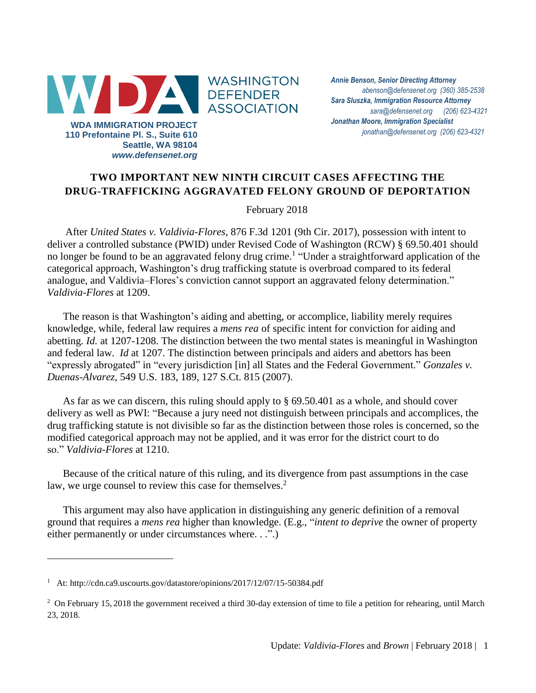

*Annie Benson, Senior Directing Attorney [abenson@defensenet.org](mailto:abenson@defensenet.org) (360) 385-2538 Sara Sluszka, Immigration Resource Attorney [sara@defensenet.org](mailto:sara@defensenet.org) (206) 623-4321 Jonathan Moore, Immigration Specialist [jonathan@defensenet.org](mailto:jonathan@defensenet.org) (206) 623-4321*

## **TWO IMPORTANT NEW NINTH CIRCUIT CASES AFFECTING THE DRUG-TRAFFICKING AGGRAVATED FELONY GROUND OF DEPORTATION**

February 2018

After *United States v. [Valdivia-Flores](http://cdn.ca9.uscourts.gov/datastore/opinions/2017/12/07/15-50384.pdf)*, 876 F.3d 1201 (9th Cir. 2017), possession with intent to deliver a controlled substance (PWID) under Revised Code of Washington (RCW) § 69.50.401 should no longer be found to be an aggravated felony drug crime.<sup>1</sup> "Under a straightforward application of the categorical approach, Washington's drug trafficking statute is overbroad compared to its federal analogue, and Valdivia–Flores's conviction cannot support an aggravated felony determination." *Valdivia-Flores* at 1209.

The reason is that Washington's aiding and abetting, or accomplice, liability merely requires knowledge, while, federal law requires a *mens rea* of specific intent for conviction for aiding and abetting. *Id.* at 1207-1208. The distinction between the two mental states is meaningful in Washington and federal law. *Id* at 1207. The distinction between principals and aiders and abettors has been "expressly abrogated" in "every jurisdiction [in] all States and the Federal Government." *Gonzales v. Duenas-Alvarez*, 549 U.S. 183, 189, 127 S.Ct. 815 (2007).

As far as we can discern, this ruling should apply to § 69.50.401 as a whole, and should cover delivery as well as PWI: "Because a jury need not distinguish between principals and accomplices, the drug trafficking statute is not divisible so far as the distinction between those roles is concerned, so the modified categorical approach may not be applied, and it was error for the district court to do so." *Valdivia-Flores* at 1210.

Because of the critical nature of this ruling, and its divergence from past assumptions in the case law, we urge counsel to review this case for themselves.<sup>2</sup>

This argument may also have application in distinguishing any generic definition of a removal ground that requires a *mens rea* higher than knowledge. (E.g., "*intent to deprive* the owner of property either permanently or under circumstances where. . .".)

 $\overline{a}$ 

<sup>&</sup>lt;sup>1</sup> At:<http://cdn.ca9.uscourts.gov/datastore/opinions/2017/12/07/15-50384.pdf>

<sup>&</sup>lt;sup>2</sup> On February 15, 2018 the government received a third 30-day extension of time to file a petition for rehearing, until March 23, 2018.